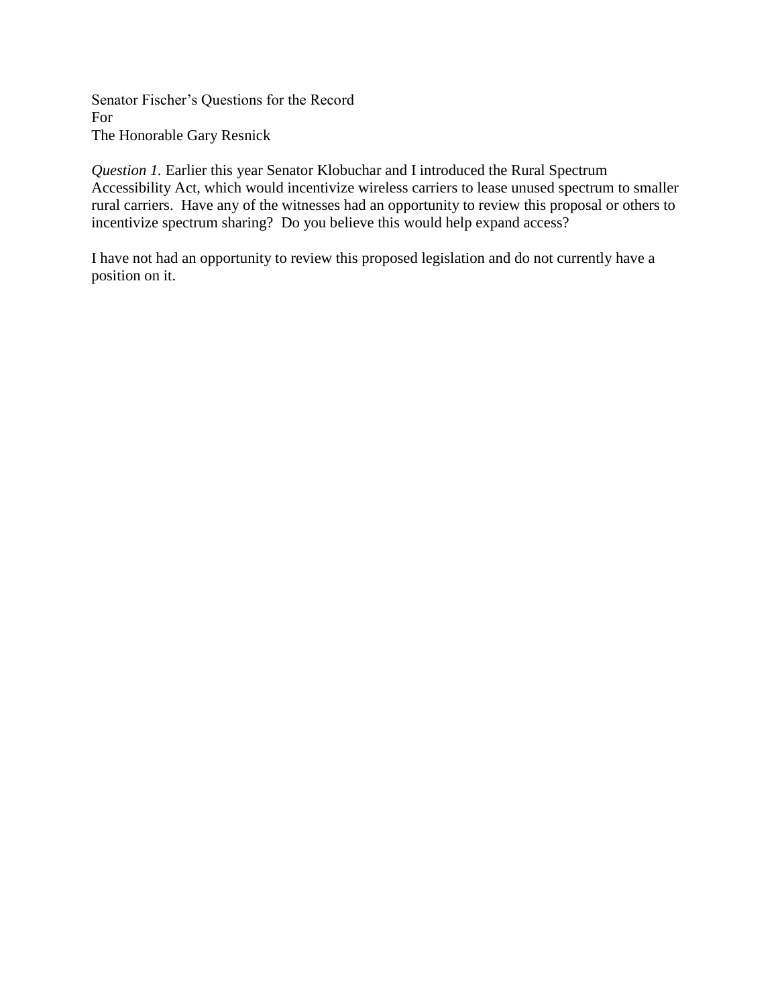Senator Fischer's Questions for the Record For The Honorable Gary Resnick

*Question 1.* Earlier this year Senator Klobuchar and I introduced the Rural Spectrum Accessibility Act, which would incentivize wireless carriers to lease unused spectrum to smaller rural carriers. Have any of the witnesses had an opportunity to review this proposal or others to incentivize spectrum sharing? Do you believe this would help expand access?

I have not had an opportunity to review this proposed legislation and do not currently have a position on it.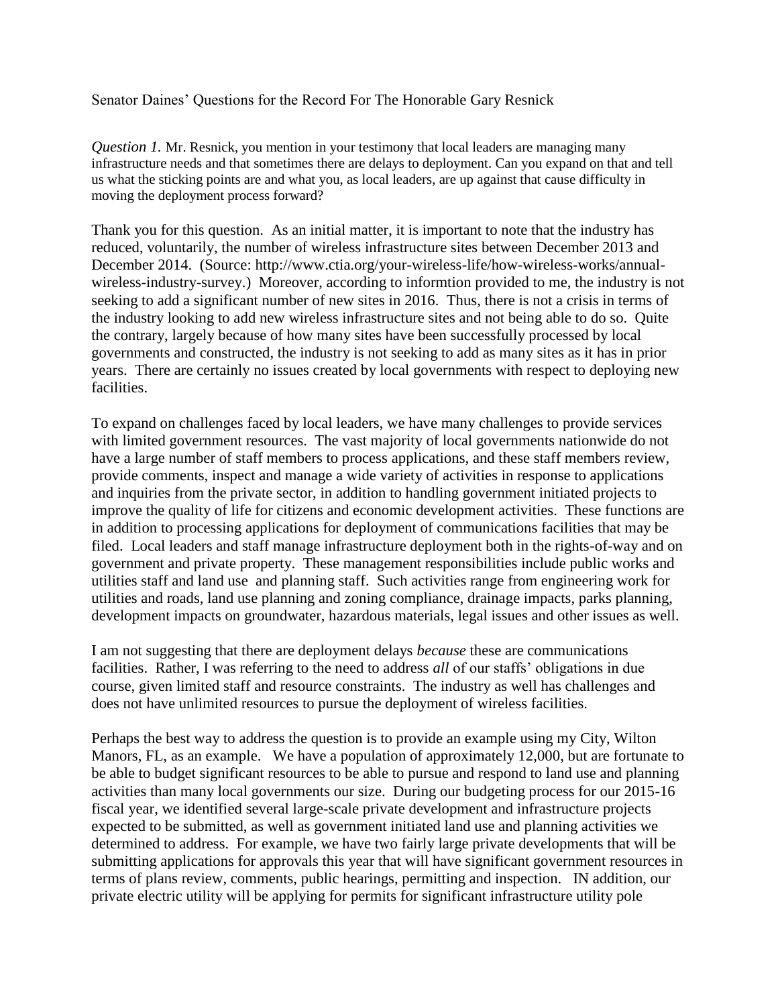## Senator Daines' Questions for the Record For The Honorable Gary Resnick

*Question 1.* Mr. Resnick, you mention in your testimony that local leaders are managing many infrastructure needs and that sometimes there are delays to deployment. Can you expand on that and tell us what the sticking points are and what you, as local leaders, are up against that cause difficulty in moving the deployment process forward?

Thank you for this question. As an initial matter, it is important to note that the industry has reduced, voluntarily, the number of wireless infrastructure sites between December 2013 and December 2014. (Source: http://www.ctia.org/your-wireless-life/how-wireless-works/annualwireless-industry-survey.) Moreover, according to informtion provided to me, the industry is not seeking to add a significant number of new sites in 2016. Thus, there is not a crisis in terms of the industry looking to add new wireless infrastructure sites and not being able to do so. Quite the contrary, largely because of how many sites have been successfully processed by local governments and constructed, the industry is not seeking to add as many sites as it has in prior years. There are certainly no issues created by local governments with respect to deploying new facilities.

To expand on challenges faced by local leaders, we have many challenges to provide services with limited government resources. The vast majority of local governments nationwide do not have a large number of staff members to process applications, and these staff members review, provide comments, inspect and manage a wide variety of activities in response to applications and inquiries from the private sector, in addition to handling government initiated projects to improve the quality of life for citizens and economic development activities. These functions are in addition to processing applications for deployment of communications facilities that may be filed. Local leaders and staff manage infrastructure deployment both in the rights-of-way and on government and private property. These management responsibilities include public works and utilities staff and land use and planning staff. Such activities range from engineering work for utilities and roads, land use planning and zoning compliance, drainage impacts, parks planning, development impacts on groundwater, hazardous materials, legal issues and other issues as well.

I am not suggesting that there are deployment delays *because* these are communications facilities. Rather, I was referring to the need to address *all* of our staffs' obligations in due course, given limited staff and resource constraints. The industry as well has challenges and does not have unlimited resources to pursue the deployment of wireless facilities.

Perhaps the best way to address the question is to provide an example using my City, Wilton Manors, FL, as an example. We have a population of approximately 12,000, but are fortunate to be able to budget significant resources to be able to pursue and respond to land use and planning activities than many local governments our size. During our budgeting process for our 2015-16 fiscal year, we identified several large-scale private development and infrastructure projects expected to be submitted, as well as government initiated land use and planning activities we determined to address. For example, we have two fairly large private developments that will be submitting applications for approvals this year that will have significant government resources in terms of plans review, comments, public hearings, permitting and inspection. IN addition, our private electric utility will be applying for permits for significant infrastructure utility pole